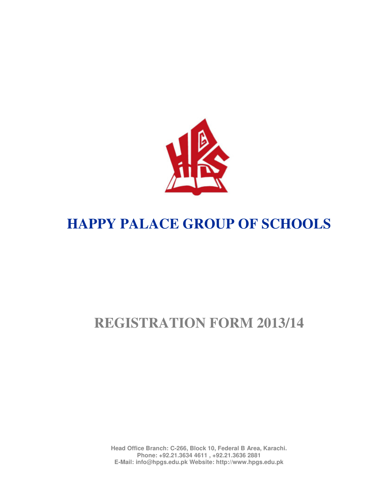

# **HAPPY PALACE GROUP OF SCHOOLS**

# **REGISTRATION FORM 2013/14**

**Head Office Branch: C-266, Block 10, Federal B Area, Karachi. Phone: +92.21.3634 4611 , +92.21.3636 2881 E-Mail: info@hpgs.edu.pk Website: http://www.hpgs.edu.pk**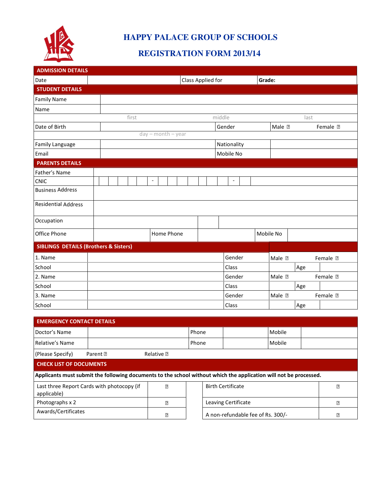

### **HAPPY PALACE GROUP OF SCHOOLS**

### **REGISTRATION FORM 2013/14**

| <b>ADMISSION DETAILS</b>                         |                          |                      |        |                |  |           |     |      |                 |
|--------------------------------------------------|--------------------------|----------------------|--------|----------------|--|-----------|-----|------|-----------------|
| Date                                             |                          | Class Applied for    |        | Grade:         |  |           |     |      |                 |
| <b>STUDENT DETAILS</b>                           |                          |                      |        |                |  |           |     |      |                 |
| <b>Family Name</b>                               |                          |                      |        |                |  |           |     |      |                 |
| Name                                             |                          |                      |        |                |  |           |     |      |                 |
|                                                  | first                    |                      | middle |                |  |           |     | last |                 |
| Date of Birth                                    |                          |                      |        | Gender         |  | Male ?    |     |      | Female <b>2</b> |
|                                                  |                          | $day - month - year$ |        |                |  |           |     |      |                 |
| <b>Family Language</b>                           |                          |                      |        | Nationality    |  |           |     |      |                 |
| Email                                            |                          |                      |        | Mobile No      |  |           |     |      |                 |
| <b>PARENTS DETAILS</b>                           |                          |                      |        |                |  |           |     |      |                 |
| Father's Name                                    |                          |                      |        |                |  |           |     |      |                 |
| <b>CNIC</b>                                      | $\overline{\phantom{a}}$ |                      |        | $\blacksquare$ |  |           |     |      |                 |
| <b>Business Address</b>                          |                          |                      |        |                |  |           |     |      |                 |
| <b>Residential Address</b>                       |                          |                      |        |                |  |           |     |      |                 |
| Occupation                                       |                          |                      |        |                |  |           |     |      |                 |
| Office Phone                                     |                          | Home Phone           |        |                |  | Mobile No |     |      |                 |
| <b>SIBLINGS DETAILS (Brothers &amp; Sisters)</b> |                          |                      |        |                |  |           |     |      |                 |
| 1. Name                                          |                          |                      |        | Gender         |  | Male ?    |     |      | Female ?        |
| School                                           |                          |                      |        | Class          |  |           | Age |      |                 |
| 2. Name                                          |                          |                      |        | Gender         |  | Male ?    |     |      | Female <b>2</b> |
| School                                           |                          |                      |        | Class          |  |           | Age |      |                 |
| 3. Name                                          |                          |                      |        | Gender         |  | Male ?    |     |      | Female <b>2</b> |
| School                                           |                          |                      |        | Class          |  |           | Age |      |                 |
|                                                  |                          |                      |        |                |  |           |     |      |                 |
| <b>EMERGENCY CONTACT DETAILS</b>                 |                          |                      |        |                |  |           |     |      |                 |
| Doctor's Name                                    |                          |                      | Phone  |                |  | Mobile    |     |      |                 |

| <b>CHECK LIST OF DOCUMENTS</b> |          |                   |       |  |        |  |  |
|--------------------------------|----------|-------------------|-------|--|--------|--|--|
| (Please Specify)               | Parent 团 | Relative <b>?</b> |       |  |        |  |  |
| Relative's Name                |          |                   | Phone |  | Mobile |  |  |
|                                |          |                   | .     |  | .      |  |  |

 **Applicants must submit the following documents to the school without which the application will not be processed.** 

| Last three Report Cards with photocopy (if | [?] | <b>Birth Certificate</b>          | 3 |
|--------------------------------------------|-----|-----------------------------------|---|
| applicable)                                |     |                                   |   |
| Photographs x 2                            | [?] | Leaving Certificate               | 卪 |
| Awards/Certificates                        | ?   | A non-refundable fee of Rs. 300/- | 卪 |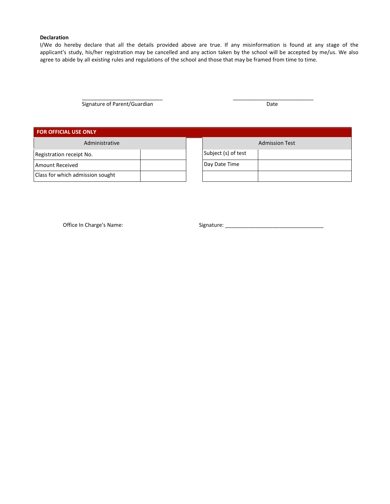#### **Declaration**

I/We do hereby declare that all the details provided above are true. If any misinformation is found at any stage of the applicant's study, his/her registration may be cancelled and any action taken by the school will be accepted by me/us. We also agree to abide by all existing rules and regulations of the school and those that may be framed from time to time.

Signature of Parent/Guardian Date

| <b>FOR OFFICIAL USE ONLY</b>     |  |  |                       |  |  |  |  |
|----------------------------------|--|--|-----------------------|--|--|--|--|
| Administrative                   |  |  | <b>Admission Test</b> |  |  |  |  |
| Registration receipt No.         |  |  | Subject (s) of test   |  |  |  |  |
| Amount Received                  |  |  | Day Date Time         |  |  |  |  |
| Class for which admission sought |  |  |                       |  |  |  |  |

 $\frac{1}{2}$  ,  $\frac{1}{2}$  ,  $\frac{1}{2}$  ,  $\frac{1}{2}$  ,  $\frac{1}{2}$  ,  $\frac{1}{2}$  ,  $\frac{1}{2}$  ,  $\frac{1}{2}$  ,  $\frac{1}{2}$  ,  $\frac{1}{2}$  ,  $\frac{1}{2}$  ,  $\frac{1}{2}$  ,  $\frac{1}{2}$  ,  $\frac{1}{2}$  ,  $\frac{1}{2}$  ,  $\frac{1}{2}$  ,  $\frac{1}{2}$  ,  $\frac{1}{2}$  ,  $\frac{1$ 

Office In Charge's Name: example and Signature: example and Signature: example and Signature: example and Signature: